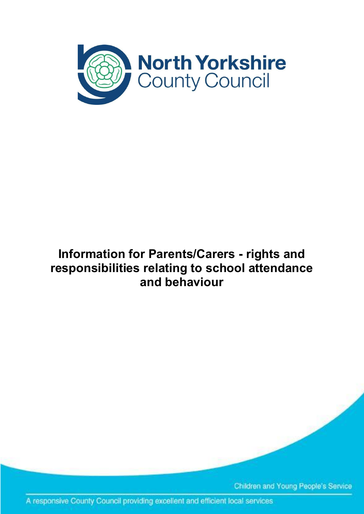

# **Information for Parents/Carers - rights and responsibilities relating to school attendance and behaviour**

Children and Young People's Service

A responsive County Council providing excellent and efficient local services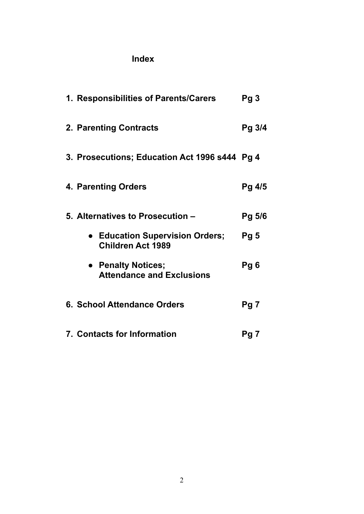## **Index**

| 1. Responsibilities of Parents/Carers                       | Pg3             |
|-------------------------------------------------------------|-----------------|
| 2. Parenting Contracts                                      | Pg 3/4          |
| 3. Prosecutions; Education Act 1996 s444 Pg 4               |                 |
| 4. Parenting Orders                                         | Pg 4/5          |
| 5. Alternatives to Prosecution -                            | Pg 5/6          |
| • Education Supervision Orders;<br><b>Children Act 1989</b> | Pg <sub>5</sub> |
| • Penalty Notices;<br><b>Attendance and Exclusions</b>      | Pg 6            |
| 6. School Attendance Orders                                 | Pg 7            |
| <b>7. Contacts for Information</b>                          | Pg 7            |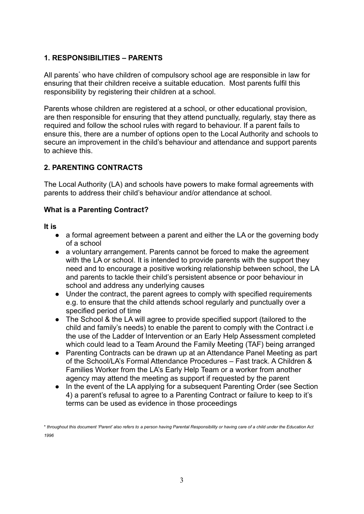#### **1. RESPONSIBILITIES – PARENTS**

All parents<sup>\*</sup> who have children of compulsory school age are responsible in law for ensuring that their children receive a suitable education. Most parents fulfil this responsibility by registering their children at a school.

Parents whose children are registered at a school, or other educational provision, are then responsible for ensuring that they attend punctually, regularly, stay there as required and follow the school rules with regard to behaviour. If a parent fails to ensure this, there are a number of options open to the Local Authority and schools to secure an improvement in the child's behaviour and attendance and support parents to achieve this.

#### **2. PARENTING CONTRACTS**

The Local Authority (LA) and schools have powers to make formal agreements with parents to address their child's behaviour and/or attendance at school.

#### **What is a Parenting Contract?**

**It is**

- a formal agreement between a parent and either the LA or the governing body of a school
- **●** a voluntary arrangement. Parents cannot be forced to make the agreement with the LA or school. It is intended to provide parents with the support they need and to encourage a positive working relationship between school, the LA and parents to tackle their child's persistent absence or poor behaviour in school and address any underlying causes
- **●** Under the contract, the parent agrees to comply with specified requirements e.g. to ensure that the child attends school regularly and punctually over a specified period of time
- The School & the LA will agree to provide specified support (tailored to the child and family's needs) to enable the parent to comply with the Contract i.e the use of the Ladder of Intervention or an Early Help Assessment completed which could lead to a Team Around the Family Meeting (TAF) being arranged
- Parenting Contracts can be drawn up at an Attendance Panel Meeting as part of the School/LA's Formal Attendance Procedures – Fast track. A Children & Families Worker from the LA's Early Help Team or a worker from another agency may attend the meeting as support if requested by the parent
- In the event of the LA applying for a subsequent Parenting Order (see Section 4) a parent's refusal to agree to a Parenting Contract or failure to keep to it's terms can be used as evidence in those proceedings

<sup>\*</sup> throughout this document 'Parent' also refers to a person having Parental Responsibility or having care of a child under the Education Act *1996*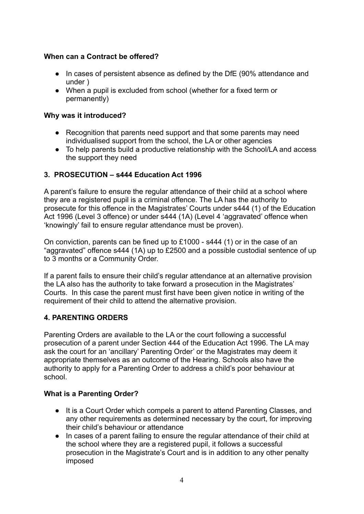#### **When can a Contract be offered?**

- In cases of persistent absence as defined by the DfE (90% attendance and under )
- When a pupil is excluded from school (whether for a fixed term or permanently)

#### **Why was it introduced?**

- Recognition that parents need support and that some parents may need individualised support from the school, the LA or other agencies
- To help parents build a productive relationship with the School/LA and access the support they need

#### **3. PROSECUTION – s444 Education Act 1996**

A parent's failure to ensure the regular attendance of their child at a school where they are a registered pupil is a criminal offence. The LA has the authority to prosecute for this offence in the Magistrates' Courts under s444 (1) of the Education Act 1996 (Level 3 offence) or under s444 (1A) (Level 4 'aggravated' offence when 'knowingly' fail to ensure regular attendance must be proven).

On conviction, parents can be fined up to £1000 - s444 (1) or in the case of an "aggravated" offence s444 (1A) up to £2500 and a possible custodial sentence of up to 3 months or a Community Order.

If a parent fails to ensure their child's regular attendance at an alternative provision the LA also has the authority to take forward a prosecution in the Magistrates' Courts. In this case the parent must first have been given notice in writing of the requirement of their child to attend the alternative provision.

#### **4. PARENTING ORDERS**

Parenting Orders are available to the LA or the court following a successful prosecution of a parent under Section 444 of the Education Act 1996. The LA may ask the court for an 'ancillary' Parenting Order' or the Magistrates may deem it appropriate themselves as an outcome of the Hearing. Schools also have the authority to apply for a Parenting Order to address a child's poor behaviour at school.

#### **What is a Parenting Order?**

- It is a Court Order which compels a parent to attend Parenting Classes, and any other requirements as determined necessary by the court, for improving their child's behaviour or attendance
- In cases of a parent failing to ensure the regular attendance of their child at the school where they are a registered pupil, it follows a successful prosecution in the Magistrate's Court and is in addition to any other penalty imposed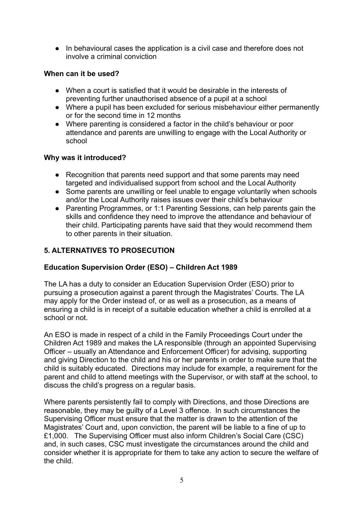● In behavioural cases the application is a civil case and therefore does not involve a criminal conviction

#### **When can it be used?**

- **●** When a court is satisfied that it would be desirable in the interests of preventing further unauthorised absence of a pupil at a school
- Where a pupil has been excluded for serious misbehaviour either permanently or for the second time in 12 months
- Where parenting is considered a factor in the child's behaviour or poor attendance and parents are unwilling to engage with the Local Authority or school

#### **Why was it introduced?**

- Recognition that parents need support and that some parents may need targeted and individualised support from school and the Local Authority
- Some parents are unwilling or feel unable to engage voluntarily when schools and/or the Local Authority raises issues over their child's behaviour
- Parenting Programmes, or 1:1 Parenting Sessions, can help parents gain the skills and confidence they need to improve the attendance and behaviour of their child. Participating parents have said that they would recommend them to other parents in their situation.

#### **5. ALTERNATIVES TO PROSECUTION**

#### **Education Supervision Order (ESO) – Children Act 1989**

The LA has a duty to consider an Education Supervision Order (ESO) prior to pursuing a prosecution against a parent through the Magistrates' Courts. The LA may apply for the Order instead of, or as well as a prosecution, as a means of ensuring a child is in receipt of a suitable education whether a child is enrolled at a school or not.

An ESO is made in respect of a child in the Family Proceedings Court under the Children Act 1989 and makes the LA responsible (through an appointed Supervising Officer – usually an Attendance and Enforcement Officer) for advising, supporting and giving Direction to the child and his or her parents in order to make sure that the child is suitably educated. Directions may include for example, a requirement for the parent and child to attend meetings with the Supervisor, or with staff at the school, to discuss the child's progress on a regular basis.

Where parents persistently fail to comply with Directions, and those Directions are reasonable, they may be guilty of a Level 3 offence. In such circumstances the Supervising Officer must ensure that the matter is drawn to the attention of the Magistrates' Court and, upon conviction, the parent will be liable to a fine of up to £1,000. The Supervising Officer must also inform Children's Social Care (CSC) and, in such cases, CSC must investigate the circumstances around the child and consider whether it is appropriate for them to take any action to secure the welfare of the child.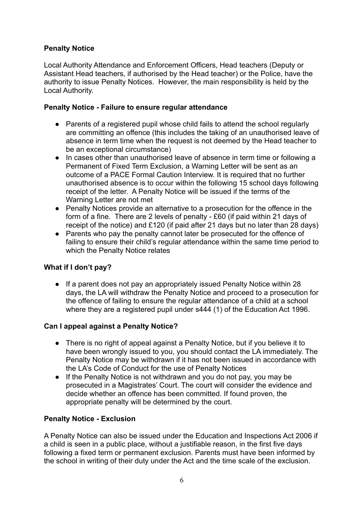#### **Penalty Notice**

Local Authority Attendance and Enforcement Officers, Head teachers (Deputy or Assistant Head teachers, if authorised by the Head teacher) or the Police, have the authority to issue Penalty Notices. However, the main responsibility is held by the Local Authority.

#### **Penalty Notice - Failure to ensure regular attendance**

- Parents of a registered pupil whose child fails to attend the school regularly are committing an offence (this includes the taking of an unauthorised leave of absence in term time when the request is not deemed by the Head teacher to be an exceptional circumstance)
- In cases other than unauthorised leave of absence in term time or following a Permanent of Fixed Term Exclusion, a Warning Letter will be sent as an outcome of a PACE Formal Caution Interview. It is required that no further unauthorised absence is to occur within the following 15 school days following receipt of the letter. A Penalty Notice will be issued if the terms of the Warning Letter are not met
- Penalty Notices provide an alternative to a prosecution for the offence in the form of a fine. There are 2 levels of penalty - £60 (if paid within 21 days of receipt of the notice) and £120 (if paid after 21 days but no later than 28 days)
- Parents who pay the penalty cannot later be prosecuted for the offence of failing to ensure their child's regular attendance within the same time period to which the Penalty Notice relates

#### **What if I don't pay?**

● If a parent does not pay an appropriately issued Penalty Notice within 28 days, the LA will withdraw the Penalty Notice and proceed to a prosecution for the offence of failing to ensure the regular attendance of a child at a school where they are a registered pupil under s444 (1) of the Education Act 1996.

#### **Can I appeal against a Penalty Notice?**

- There is no right of appeal against a Penalty Notice, but if you believe it to have been wrongly issued to you, you should contact the LA immediately. The Penalty Notice may be withdrawn if it has not been issued in accordance with the LA's Code of Conduct for the use of Penalty Notices
- If the Penalty Notice is not withdrawn and you do not pay, you may be prosecuted in a Magistrates' Court. The court will consider the evidence and decide whether an offence has been committed. If found proven, the appropriate penalty will be determined by the court.

#### **Penalty Notice - Exclusion**

A Penalty Notice can also be issued under the Education and Inspections Act 2006 if a child is seen in a public place, without a justifiable reason, in the first five days following a fixed term or permanent exclusion. Parents must have been informed by the school in writing of their duty under the Act and the time scale of the exclusion.